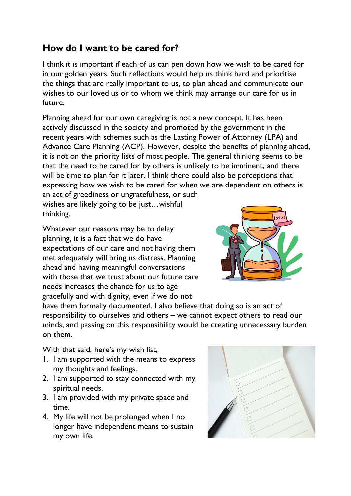## **How do I want to be cared for?**

I think it is important if each of us can pen down how we wish to be cared for in our golden years. Such reflections would help us think hard and prioritise the things that are really important to us, to plan ahead and communicate our wishes to our loved us or to whom we think may arrange our care for us in future.

Planning ahead for our own caregiving is not a new concept. It has been actively discussed in the society and promoted by the government in the recent years with schemes such as the Lasting Power of Attorney (LPA) and Advance Care Planning (ACP). However, despite the benefits of planning ahead, it is not on the priority lists of most people. The general thinking seems to be that the need to be cared for by others is unlikely to be imminent, and there will be time to plan for it later. I think there could also be perceptions that expressing how we wish to be cared for when we are dependent on others is an act of greediness or ungratefulness, or such

wishes are likely going to be just…wishful thinking.

Whatever our reasons may be to delay planning, it is a fact that we do have expectations of our care and not having them met adequately will bring us distress. Planning ahead and having meaningful conversations with those that we trust about our future care needs increases the chance for us to age gracefully and with dignity, even if we do not



have them formally documented. I also believe that doing so is an act of responsibility to ourselves and others – we cannot expect others to read our minds, and passing on this responsibility would be creating unnecessary burden on them.

With that said, here's my wish list,

- 1. I am supported with the means to express my thoughts and feelings.
- 2. I am supported to stay connected with my spiritual needs.
- 3. I am provided with my private space and time.
- 4. My life will not be prolonged when I no longer have independent means to sustain my own life.